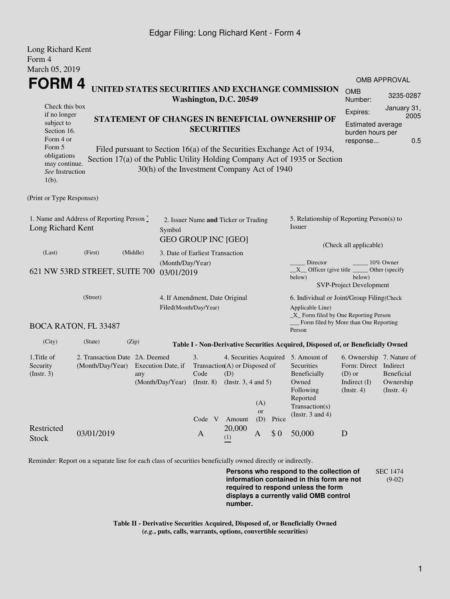## Edgar Filing: Long Richard Kent - Form 4

 $L_{\text{max}}$   $\mathbf{D}_{\text{in}}^{\text{in}}$   $\mathbf{L}_{\text{out}}$ 

| Long Richard Kent<br>Form 4                                                                                                     |                                                    |                                                                                                                                                                                                                                                                                                                                                            |                                                                              |                                                                               |                  |       |                                                                                                                                                |                                                                                                      |                                                                                                                                                          |  |
|---------------------------------------------------------------------------------------------------------------------------------|----------------------------------------------------|------------------------------------------------------------------------------------------------------------------------------------------------------------------------------------------------------------------------------------------------------------------------------------------------------------------------------------------------------------|------------------------------------------------------------------------------|-------------------------------------------------------------------------------|------------------|-------|------------------------------------------------------------------------------------------------------------------------------------------------|------------------------------------------------------------------------------------------------------|----------------------------------------------------------------------------------------------------------------------------------------------------------|--|
| March 05, 2019<br>FORM 4<br>Check this box                                                                                      |                                                    | UNITED STATES SECURITIES AND EXCHANGE COMMISSION<br>Washington, D.C. 20549<br>STATEMENT OF CHANGES IN BENEFICIAL OWNERSHIP OF<br><b>SECURITIES</b><br>Filed pursuant to Section 16(a) of the Securities Exchange Act of 1934,<br>Section 17(a) of the Public Utility Holding Company Act of 1935 or Section<br>30(h) of the Investment Company Act of 1940 |                                                                              |                                                                               |                  |       |                                                                                                                                                |                                                                                                      | <b>OMB APPROVAL</b><br><b>OMB</b><br>3235-0287<br>Number:<br>January 31,<br>Expires:<br>2005<br>Estimated average<br>burden hours per<br>0.5<br>response |  |
| if no longer<br>subject to<br>Section 16.<br>Form 4 or<br>Form 5<br>obligations<br>may continue.<br>See Instruction<br>$1(b)$ . |                                                    |                                                                                                                                                                                                                                                                                                                                                            |                                                                              |                                                                               |                  |       |                                                                                                                                                |                                                                                                      |                                                                                                                                                          |  |
| (Print or Type Responses)                                                                                                       |                                                    |                                                                                                                                                                                                                                                                                                                                                            |                                                                              |                                                                               |                  |       |                                                                                                                                                |                                                                                                      |                                                                                                                                                          |  |
| 1. Name and Address of Reporting Person $\tilde{\ }$<br>Long Richard Kent                                                       |                                                    |                                                                                                                                                                                                                                                                                                                                                            | 2. Issuer Name and Ticker or Trading<br>Symbol<br><b>GEO GROUP INC [GEO]</b> |                                                                               |                  |       | 5. Relationship of Reporting Person(s) to<br>Issuer<br>(Check all applicable)                                                                  |                                                                                                      |                                                                                                                                                          |  |
| (Last)                                                                                                                          | (First)<br>621 NW 53RD STREET, SUITE 700           | (Middle)<br>03/01/2019                                                                                                                                                                                                                                                                                                                                     | 3. Date of Earliest Transaction<br>(Month/Day/Year)                          |                                                                               |                  |       | Director<br>$X$ Officer (give title<br>below)                                                                                                  | below)<br><b>SVP-Project Development</b>                                                             | 10% Owner<br>Other (specify)                                                                                                                             |  |
| (Street)                                                                                                                        |                                                    |                                                                                                                                                                                                                                                                                                                                                            | 4. If Amendment, Date Original<br>Filed(Month/Day/Year)                      |                                                                               |                  |       | 6. Individual or Joint/Group Filing(Check<br>Applicable Line)<br>_X_ Form filed by One Reporting Person                                        |                                                                                                      |                                                                                                                                                          |  |
|                                                                                                                                 | <b>BOCA RATON, FL 33487</b>                        |                                                                                                                                                                                                                                                                                                                                                            |                                                                              |                                                                               |                  |       | Form filed by More than One Reporting<br>Person                                                                                                |                                                                                                      |                                                                                                                                                          |  |
| (City)                                                                                                                          | (State)                                            | (Zip)                                                                                                                                                                                                                                                                                                                                                      |                                                                              |                                                                               |                  |       | Table I - Non-Derivative Securities Acquired, Disposed of, or Beneficially Owned                                                               |                                                                                                      |                                                                                                                                                          |  |
| 1. Title of<br>Security<br>(Instr. 3)                                                                                           | 2. Transaction Date 2A. Deemed<br>(Month/Day/Year) | Execution Date, if<br>any<br>(Month/Day/Year)                                                                                                                                                                                                                                                                                                              | 3.<br>Code<br>$($ Instr. $8)$<br>Code <sub>V</sub>                           | Transaction $(A)$ or Disposed of<br>(D)<br>(Instr. $3, 4$ and $5$ )<br>Amount | (A)<br>or<br>(D) | Price | 4. Securities Acquired 5. Amount of<br>Securities<br>Beneficially<br>Owned<br>Following<br>Reported<br>Transaction(s)<br>(Instr. $3$ and $4$ ) | 6. Ownership 7. Nature of<br>Form: Direct Indirect<br>$(D)$ or<br>Indirect $(I)$<br>$($ Instr. 4 $)$ | Beneficial<br>Ownership<br>$($ Instr. 4 $)$                                                                                                              |  |
| Restricted<br>Stock                                                                                                             | 03/01/2019                                         |                                                                                                                                                                                                                                                                                                                                                            | A                                                                            | 20,000<br>(1)                                                                 | A                | \$0   | 50,000                                                                                                                                         | D                                                                                                    |                                                                                                                                                          |  |

Reminder: Report on a separate line for each class of securities beneficially owned directly or indirectly.

**Persons who respond to the collection of information contained in this form are not required to respond unless the form displays a currently valid OMB control number.** SEC 1474 (9-02)

**Table II - Derivative Securities Acquired, Disposed of, or Beneficially Owned (***e.g.***, puts, calls, warrants, options, convertible securities)**